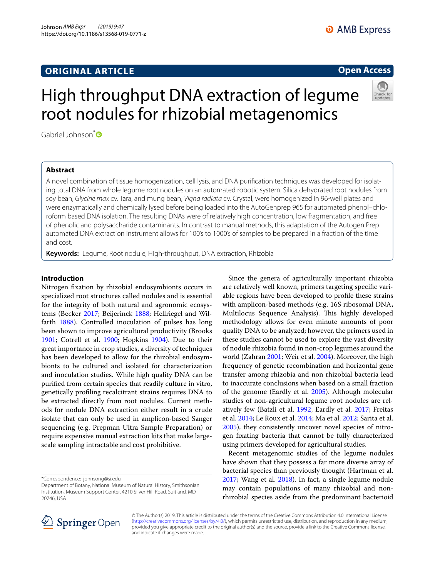# **ORIGINAL ARTICLE**

# **Open Access**

# High throughput DNA extraction of legume root nodules for rhizobial metagenomics



Gabriel Johnson<sup>[\\*](http://orcid.org/0000-0001-7875-9285)</sup>

# **Abstract**

A novel combination of tissue homogenization, cell lysis, and DNA purifcation techniques was developed for isolating total DNA from whole legume root nodules on an automated robotic system. Silica dehydrated root nodules from soy bean, *Glycine max* cv. Tara, and mung bean, *Vigna radiata* cv. Crystal, were homogenized in 96-well plates and were enzymatically and chemically lysed before being loaded into the AutoGenprep 965 for automated phenol–chloroform based DNA isolation. The resulting DNAs were of relatively high concentration, low fragmentation, and free of phenolic and polysaccharide contaminants. In contrast to manual methods, this adaptation of the Autogen Prep automated DNA extraction instrument allows for 100's to 1000's of samples to be prepared in a fraction of the time and cost.

**Keywords:** Legume, Root nodule, High-throughput, DNA extraction, Rhizobia

## **Introduction**

Nitrogen fxation by rhizobial endosymbionts occurs in specialized root structures called nodules and is essential for the integrity of both natural and agronomic ecosystems (Becker [2017](#page-4-0); Beijerinck [1888;](#page-4-1) Hellriegel and Wilfarth [1888\)](#page-5-0). Controlled inoculation of pulses has long been shown to improve agricultural productivity (Brooks [1901](#page-4-2); Cotrell et al. [1900](#page-4-3); Hopkins [1904\)](#page-5-1). Due to their great importance in crop studies, a diversity of techniques has been developed to allow for the rhizobial endosymbionts to be cultured and isolated for characterization and inoculation studies. While high quality DNA can be purifed from certain species that readily culture in vitro, genetically profling recalcitrant strains requires DNA to be extracted directly from root nodules. Current methods for nodule DNA extraction either result in a crude isolate that can only be used in amplicon-based Sanger sequencing (e.g. Prepman Ultra Sample Preparation) or require expensive manual extraction kits that make largescale sampling intractable and cost prohibitive.

\*Correspondence: johnsong@si.edu

Since the genera of agriculturally important rhizobia are relatively well known, primers targeting specifc variable regions have been developed to profle these strains with amplicon-based methods (e.g. 16S ribosomal DNA, Multilocus Sequence Analysis). This highly developed methodology allows for even minute amounts of poor quality DNA to be analyzed; however, the primers used in these studies cannot be used to explore the vast diversity of nodule rhizobia found in non-crop legumes around the world (Zahran [2001;](#page-5-2) Weir et al. [2004](#page-5-3)). Moreover, the high frequency of genetic recombination and horizontal gene transfer among rhizobia and non rhizobial bacteria lead to inaccurate conclusions when based on a small fraction of the genome (Eardly et al. [2005](#page-4-4)). Although molecular studies of non-agricultural legume root nodules are relatively few (Batzli et al. [1992](#page-4-5); Eardly et al. [2017](#page-4-6); Freitas et al. [2014;](#page-4-7) Le Roux et al. [2014](#page-5-4); Ma et al. [2012;](#page-5-5) Sarita et al. [2005](#page-5-6)), they consistently uncover novel species of nitrogen fxating bacteria that cannot be fully characterized using primers developed for agricultural studies.

Recent metagenomic studies of the legume nodules have shown that they possess a far more diverse array of bacterial species than previously thought (Hartman et al. [2017](#page-4-8); Wang et al. [2018\)](#page-5-7). In fact, a single legume nodule may contain populations of many rhizobial and nonrhizobial species aside from the predominant bacterioid



© The Author(s) 2019. This article is distributed under the terms of the Creative Commons Attribution 4.0 International License [\(http://creativecommons.org/licenses/by/4.0/\)](http://creativecommons.org/licenses/by/4.0/), which permits unrestricted use, distribution, and reproduction in any medium, provided you give appropriate credit to the original author(s) and the source, provide a link to the Creative Commons license, and indicate if changes were made.

Department of Botany, National Museum of Natural History, Smithsonian Institution, Museum Support Center, 4210 Silver Hill Road, Suitland, MD 20746, USA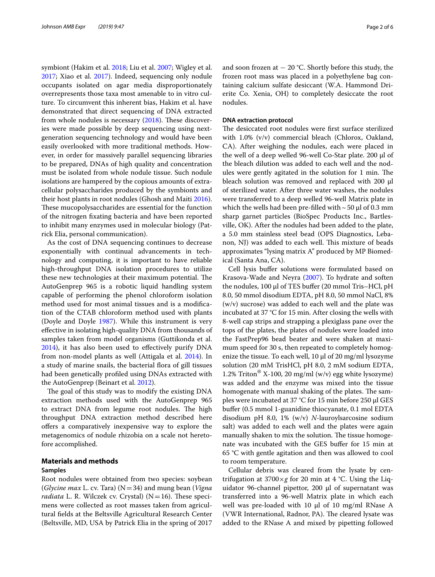symbiont (Hakim et al. [2018;](#page-4-9) Liu et al. [2007](#page-5-8); Wigley et al. [2017](#page-5-9); Xiao et al. [2017](#page-5-10)). Indeed, sequencing only nodule occupants isolated on agar media disproportionately overrepresents those taxa most amenable to in vitro culture. To circumvent this inherent bias, Hakim et al. have demonstrated that direct sequencing of DNA extracted from whole nodules is necessary  $(2018)$ . These discoveries were made possible by deep sequencing using nextgeneration sequencing technology and would have been easily overlooked with more traditional methods. However, in order for massively parallel sequencing libraries to be prepared, DNAs of high quality and concentration must be isolated from whole nodule tissue. Such nodule isolations are hampered by the copious amounts of extracellular polysaccharides produced by the symbionts and their host plants in root nodules (Ghosh and Maiti [2016](#page-4-10)). These mucopolysaccharides are essential for the function of the nitrogen fxating bacteria and have been reported to inhibit many enzymes used in molecular biology (Patrick Elia, personal communication).

As the cost of DNA sequencing continues to decrease exponentially with continual advancements in technology and computing, it is important to have reliable high-throughput DNA isolation procedures to utilize these new technologies at their maximum potential. The AutoGenprep 965 is a robotic liquid handling system capable of performing the phenol chloroform isolation method used for most animal tissues and is a modifcation of the CTAB chloroform method used with plants (Doyle and Doyle [1987\)](#page-4-11). While this instrument is very efective in isolating high-quality DNA from thousands of samples taken from model organisms (Guttikonda et al. [2014](#page-4-12)), it has also been used to efectively purify DNA from non-model plants as well (Attigala et al. [2014\)](#page-4-13). In a study of marine snails, the bacterial flora of gill tissues had been genetically profled using DNAs extracted with the AutoGenprep (Beinart et al. [2012\)](#page-4-14).

The goal of this study was to modify the existing DNA extraction methods used with the AutoGenprep 965 to extract DNA from legume root nodules. The high throughput DNA extraction method described here ofers a comparatively inexpensive way to explore the metagenomics of nodule rhizobia on a scale not heretofore accomplished.

## **Materials and methods**

## **Samples**

Root nodules were obtained from two species: soybean (*Glycine max* L. cv. Tara) (N=34) and mung bean (*Vigna radiata* L. R. Wilczek cv. Crystal) ( $N=16$ ). These specimens were collected as root masses taken from agricultural felds at the Beltsville Agricultural Research Center (Beltsville, MD, USA by Patrick Elia in the spring of 2017 and soon frozen at  $-20$  °C. Shortly before this study, the frozen root mass was placed in a polyethylene bag containing calcium sulfate desiccant (W.A. Hammond Drierite Co. Xenia, OH) to completely desiccate the root nodules.

## **DNA extraction protocol**

The desiccated root nodules were first surface sterilized with 1.0% (v/v) commercial bleach (Chlorox, Oakland, CA). After weighing the nodules, each were placed in the well of a deep welled 96-well Co-Star plate. 200 µl of the bleach dilution was added to each well and the nodules were gently agitated in the solution for 1 min. The bleach solution was removed and replaced with  $200 \mu l$ of sterilized water. After three water washes, the nodules were transferred to a deep welled 96-well Matrix plate in which the wells had been pre-filled with  $\sim$  50 µl of 0.3 mm sharp garnet particles (BioSpec Products Inc., Bartlesville, OK). After the nodules had been added to the plate, a 5.0 mm stainless steel bead (OPS Diagnostics, Lebanon, NJ) was added to each well. This mixture of beads approximates "lysing matrix A" produced by MP Biomedical (Santa Ana, CA).

Cell lysis bufer solutions were formulated based on Krasova-Wade and Neyra [\(2007\)](#page-5-11). To hydrate and soften the nodules, 100 μl of TES buffer (20 mmol Tris–HCl, pH 8.0, 50 mmol disodium EDTA, pH 8.0, 50 mmol NaCl, 8% (w/v) sucrose) was added to each well and the plate was incubated at 37 °C for 15 min. After closing the wells with 8-well cap strips and strapping a plexiglass pane over the tops of the plates, the plates of nodules were loaded into the FastPrep96 bead beater and were shaken at maximum speed for 30 s, then repeated to completely homogenize the tissue. To each well, 10 µl of 20 mg/ml lysozyme solution (20 mM TrisHCl, pH 8.0, 2 mM sodium EDTA, 1.2% Triton® X-100, 20 mg/ml (w/v) egg white lysozyme) was added and the enzyme was mixed into the tissue homogenate with manual shaking of the plates. The samples were incubated at 37 °C for 15 min before 250 µl GES bufer (0.5 mmol 1-guanidine thiocyanate, 0.1 mol EDTA disodium pH 8.0, 1% (w/v) *N*-lauroylsarcosine sodium salt) was added to each well and the plates were again manually shaken to mix the solution. The tissue homogenate was incubated with the GES bufer for 15 min at 65 °C with gentle agitation and then was allowed to cool to room temperature.

Cellular debris was cleared from the lysate by centrifugation at 3700×*g* for 20 min at 4 °C. Using the Liquidator 96-channel pipettor, 200  $\mu$ l of supernatant was transferred into a 96-well Matrix plate in which each well was pre-loaded with 10  $\mu$ l of 10 mg/ml RNase A (VWR International, Radnor, PA). The cleared lysate was added to the RNase A and mixed by pipetting followed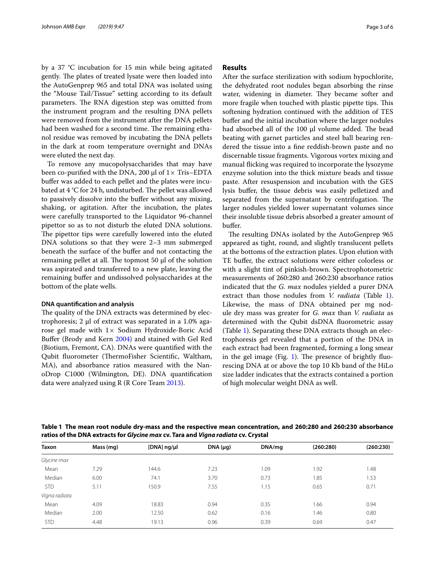by a 37 °C incubation for 15 min while being agitated gently. The plates of treated lysate were then loaded into the AutoGenprep 965 and total DNA was isolated using the "Mouse Tail/Tissue" setting according to its default parameters. The RNA digestion step was omitted from the instrument program and the resulting DNA pellets were removed from the instrument after the DNA pellets had been washed for a second time. The remaining ethanol residue was removed by incubating the DNA pellets in the dark at room temperature overnight and DNAs were eluted the next day.

To remove any mucopolysaccharides that may have been co-purified with the DNA, 200  $\mu$ l of 1 $\times$  Tris–EDTA bufer was added to each pellet and the plates were incubated at  $4^{\circ}$ C for 24 h, undisturbed. The pellet was allowed to passively dissolve into the bufer without any mixing, shaking, or agitation. After the incubation, the plates were carefully transported to the Liquidator 96-channel pipettor so as to not disturb the eluted DNA solutions. The pipettor tips were carefully lowered into the eluted DNA solutions so that they were 2–3 mm submerged beneath the surface of the bufer and not contacting the remaining pellet at all. The topmost  $50 \mu l$  of the solution was aspirated and transferred to a new plate, leaving the remaining bufer and undissolved polysaccharides at the bottom of the plate wells.

#### **DNA quantifcation and analysis**

The quality of the DNA extracts was determined by electrophoresis;  $2 \mu l$  of extract was separated in a 1.0% agarose gel made with  $1 \times$  Sodium Hydroxide-Boric Acid Bufer (Brody and Kern [2004\)](#page-4-15) and stained with Gel Red (Biotium, Fremont, CA). DNAs were quantifed with the Qubit fluorometer (ThermoFisher Scientific, Waltham, MA), and absorbance ratios measured with the NanoDrop C1000 (Wilmington, DE). DNA quantifcation data were analyzed using R (R Core Team [2013\)](#page-5-12).

## **Results**

After the surface sterilization with sodium hypochlorite, the dehydrated root nodules began absorbing the rinse water, widening in diameter. They became softer and more fragile when touched with plastic pipette tips. This softening hydration continued with the addition of TES bufer and the initial incubation where the larger nodules had absorbed all of the 100 µl volume added. The bead beating with garnet particles and steel ball bearing rendered the tissue into a fne reddish-brown paste and no discernable tissue fragments. Vigorous vortex mixing and manual ficking was required to incorporate the lysozyme enzyme solution into the thick mixture beads and tissue paste. After resuspension and incubation with the GES lysis buffer, the tissue debris was easily pelletized and separated from the supernatant by centrifugation. The larger nodules yielded lower supernatant volumes since their insoluble tissue debris absorbed a greater amount of bufer.

The resulting DNAs isolated by the AutoGenprep 965 appeared as tight, round, and slightly translucent pellets at the bottoms of the extraction plates. Upon elution with TE bufer, the extract solutions were either colorless or with a slight tint of pinkish-brown. Spectrophotometric measurements of 260:280 and 260:230 absorbance ratios indicated that the *G. max* nodules yielded a purer DNA extract than those nodules from *V. radiata* (Table [1](#page-2-0)). Likewise, the mass of DNA obtained per mg nodule dry mass was greater for *G. max* than *V. radiata* as determined with the Qubit dsDNA fuorometric assay (Table [1\)](#page-2-0). Separating these DNA extracts though an electrophoresis gel revealed that a portion of the DNA in each extract had been fragmented, forming a long smear in the gel image (Fig. [1\)](#page-3-0). The presence of brightly fluorescing DNA at or above the top 10 Kb band of the HiLo size ladder indicates that the extracts contained a portion of high molecular weight DNA as well.

<span id="page-2-0"></span>**Table 1 The mean root nodule dry-mass and the respective mean concentration, and 260:280 and 260:230 absorbance ratios of the DNA extracts for** *Glycine max* **cv. Tara and** *Vigna radiata* **cv. Crystal**

| <b>Taxon</b>  | Mass (mg) | [ $DNA$ ] ng/ $\mu$ l | DNA (µq) | DNA/mg | (260:280) | (260:230) |
|---------------|-----------|-----------------------|----------|--------|-----------|-----------|
| Glycine max   |           |                       |          |        |           |           |
| Mean          | 7.29      | 144.6                 | 7.23     | 1.09   | 1.92      | 1.48      |
| Median        | 6.00      | 74.1                  | 3.70     | 0.73   | 1.85      | 1.53      |
| <b>STD</b>    | 5.11      | 150.9                 | 7.55     | 1.15   | 0.65      | 0.71      |
| Vigna radiata |           |                       |          |        |           |           |
| Mean          | 4.09      | 18.83                 | 0.94     | 0.35   | 1.66      | 0.94      |
| Median        | 2.00      | 12.50                 | 0.62     | 0.16   | 1.46      | 0.80      |
| <b>STD</b>    | 4.48      | 19.13                 | 0.96     | 0.39   | 0.69      | 0.47      |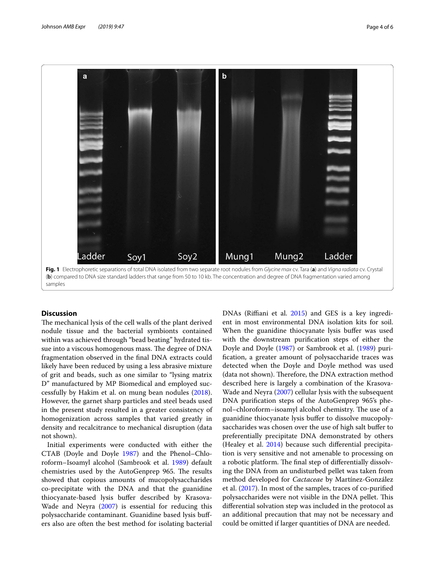

## <span id="page-3-0"></span>**Discussion**

The mechanical lysis of the cell walls of the plant derived nodule tissue and the bacterial symbionts contained within was achieved through "bead beating" hydrated tissue into a viscous homogenous mass. The degree of DNA fragmentation observed in the fnal DNA extracts could likely have been reduced by using a less abrasive mixture of grit and beads, such as one similar to "lysing matrix D" manufactured by MP Biomedical and employed successfully by Hakim et al. on mung bean nodules [\(2018](#page-4-9)). However, the garnet sharp particles and steel beads used in the present study resulted in a greater consistency of homogenization across samples that varied greatly in density and recalcitrance to mechanical disruption (data not shown).

Initial experiments were conducted with either the CTAB (Doyle and Doyle [1987](#page-4-11)) and the Phenol–Chloroform–Isoamyl alcohol (Sambrook et al. [1989](#page-5-13)) default chemistries used by the AutoGenprep 965. The results showed that copious amounts of mucopolysaccharides co-precipitate with the DNA and that the guanidine thiocyanate-based lysis bufer described by Krasova-Wade and Neyra [\(2007](#page-5-11)) is essential for reducing this polysaccharide contaminant. Guanidine based lysis bufers also are often the best method for isolating bacterial DNAs (Rifani et al. [2015\)](#page-5-14) and GES is a key ingredient in most environmental DNA isolation kits for soil. When the guanidine thiocyanate lysis buffer was used with the downstream purifcation steps of either the Doyle and Doyle [\(1987\)](#page-4-11) or Sambrook et al. ([1989](#page-5-13)) purifcation, a greater amount of polysaccharide traces was detected when the Doyle and Doyle method was used (data not shown). Therefore, the DNA extraction method described here is largely a combination of the Krasova-Wade and Neyra ([2007](#page-5-11)) cellular lysis with the subsequent DNA purifcation steps of the AutoGenprep 965's phenol-chloroform-isoamyl alcohol chemistry. The use of a guanidine thiocyanate lysis bufer to dissolve mucopolysaccharides was chosen over the use of high salt buffer to preferentially precipitate DNA demonstrated by others (Healey et al. [2014](#page-4-16)) because such diferential precipitation is very sensitive and not amenable to processing on a robotic platform. The final step of differentially dissolving the DNA from an undisturbed pellet was taken from method developed for *Cactaceae* by Martínez-González et al. ([2017\)](#page-5-15). In most of the samples, traces of co-purifed polysaccharides were not visible in the DNA pellet. This diferential solvation step was included in the protocol as an additional precaution that may not be necessary and could be omitted if larger quantities of DNA are needed.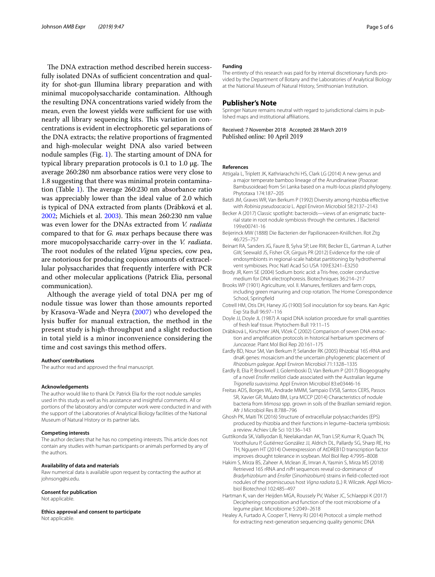The DNA extraction method described herein successfully isolated DNAs of sufficient concentration and quality for shot-gun Illumina library preparation and with minimal mucopolysaccharide contamination. Although the resulting DNA concentrations varied widely from the mean, even the lowest yields were sufficient for use with nearly all library sequencing kits. This variation in concentrations is evident in electrophoretic gel separations of the DNA extracts; the relative proportions of fragmented and high-molecular weight DNA also varied between nodule samples (Fig. [1\)](#page-3-0). The starting amount of DNA for typical library preparation protocols is  $0.1$  to  $1.0 \mu$ g. The average 260:280 nm absorbance ratios were very close to 1.8 suggesting that there was minimal protein contamina-tion (Table [1\)](#page-2-0). The average  $260:230$  nm absorbance ratio was appreciably lower than the ideal value of 2.0 which is typical of DNA extracted from plants (Drábková et al. [2002](#page-4-17); Michiels et al. [2003\)](#page-5-16). This mean 260:230 nm value was even lower for the DNAs extracted from *V. radiata* compared to that for *G. max* perhaps because there was more mucopolysaccharide carry-over in the *V. radiata*. The root nodules of the related *Vigna* species, cow pea, are notorious for producing copious amounts of extracellular polysaccharides that frequently interfere with PCR and other molecular applications (Patrick Elia, personal communication).

Although the average yield of total DNA per mg of nodule tissue was lower than those amounts reported by Krasova-Wade and Neyra [\(2007](#page-5-11)) who developed the lysis bufer for manual extraction, the method in the present study is high-throughput and a slight reduction in total yield is a minor inconvenience considering the time and cost savings this method offers.

#### **Authors' contributions**

The author read and approved the fnal manuscript.

#### **Acknowledgements**

The author would like to thank Dr. Patrick Elia for the root nodule samples used in this study as well as his assistance and insightful comments. All or portions of the laboratory and/or computer work were conducted in and with the support of the Laboratories of Analytical Biology facilities of the National Museum of Natural History or its partner labs.

#### **Competing interests**

The author declares that he has no competing interests. This article does not contain any studies with human participants or animals performed by any of the authors.

## **Availability of data and materials**

Raw numerical data is available upon request by contacting the author at johnsong@si.edu.

#### **Consent for publication**

Not applicable.

**Ethics approval and consent to participate**

Not applicable.

#### **Funding**

The entirety of this research was paid for by internal discretionary funds provided by the Department of Botany and the Laboratories of Analytical Biology at the National Museum of Natural History, Smithsonian Institution.

### **Publisher's Note**

Springer Nature remains neutral with regard to jurisdictional claims in published maps and institutional afliations.

Received: 7 November 2018 Accepted: 28 March 2019 Published online: 10 April 2019

#### **References**

- <span id="page-4-13"></span>Attigala L, Triplett JK, Kathriarachchi HS, Clark LG (2014) A new genus and a major temperate bamboo lineage of the Arundinarieae (*Poaceae*: Bambusoideae) from Sri Lanka based on a multi-locus plastid phylogeny. Phytotaxa 174:187–205
- <span id="page-4-5"></span>Batzli JM, Graves WR, Van Berkum P (1992) Diversity among rhizobia efective with *Robinia pseudoacacia* L. Appl Environ Microbiol 58:2137–2143
- <span id="page-4-0"></span>Becker A (2017) Classic spotlight: bacteroids—views of an enigmatic bacterial state in root nodule symbiosis through the centuries. J Bacteriol 199:e00741-16
- <span id="page-4-1"></span>Beijerinck MW (1888) Die Bacterien der Papilionaceen-Kniillchen. Rot Ztg 46:725–757
- <span id="page-4-14"></span>Beinart RA, Sanders JG, Faure B, Sylva SP, Lee RW, Becker EL, Gartman A, Luther GW, Seewald JS, Fisher CR, Girguis PR (2012) Evidence for the role of endosymbionts in regional-scale habitat partitioning by hydrothermal vent symbioses. Proc Natl Acad Sci USA 109:E3241–E3250
- <span id="page-4-15"></span>Brody JR, Kern SE (2004) Sodium boric acid: a Tris-free, cooler conductive medium for DNA electrophoresis. Biotechniques 36:214–217
- <span id="page-4-2"></span>Brooks WP (1901) Agriculture, vol. II. Manures, fertilizers and farm crops, including green manuring and crop rotation. The Home Correspondence School, Springfield
- <span id="page-4-3"></span>Cotrell HM, Otis DH, Haney JG (1900) Soil inoculation for soy beans. Kan Agric Exp Sta Bull 96:97–116
- <span id="page-4-11"></span>Doyle JJ, Doyle JL (1987) A rapid DNA isolation procedure for small quantities of fresh leaf tissue. Phytochem Bull 19:11–15
- <span id="page-4-17"></span>Drábková L, Kirschner JAN, Vlĉek Ĉ (2002) Comparison of seven DNA extraction and amplifcation protocols in historical herbarium specimens of *Juncaceae*. Plant Mol Biol Rep 20:161–175
- <span id="page-4-4"></span>Eardly BD, Nour SM, Van Berkum P, Selander RK (2005) Rhizobial 16S rRNA and dnaK genes: mosaicism and the uncertain phylogenetic placement of *Rhizobium galegae*. Appl Environ Microbiol 71:1328–1335
- <span id="page-4-6"></span>Eardly B, Elia P, Brockwell J, Golemboski D, Van Berkum P (2017) Biogeography of a novel *Ensifer meliloti* clade associated with the Australian legume *Trigonella suavissima*. Appl Environ Microbiol 83:e03446-16
- <span id="page-4-7"></span>Freitas ADS, Borges WL, Andrade MMM, Sampaio EVSB, Santos CERS, Passos SR, Xavier GR, Mulato BM, Lyra MCCP (2014) Characteristics of nodule bacteria from *Mimosa* spp. grown in soils of the Brazilian semiarid region. Afr J Microbiol Res 8:788–796
- <span id="page-4-10"></span>Ghosh PK, Maiti TK (2016) Structure of extracellular polysaccharides (EPS) produced by rhizobia and their functions in legume–bacteria symbiosis: a review. Achiev Life Sci 10:136–143
- <span id="page-4-12"></span>Guttikonda SK, Valliyodan B, Neelakandan AK, Tran LSP, Kumar R, Quach TN, Voothuluru P, Gutiérrez González JJ, Aldrich DL, Pallardy SG, Sharp RE, Ho TH, Nguyen HT (2014) Overexpression of AtDREB1D transcription factor improves drought tolerance in soybean. Mol Biol Rep 4:7995–8008
- <span id="page-4-9"></span>Hakim S, Mirza BS, Zaheer A, Mclean JE, Imran A, Yasmin S, Mirza MS (2018) Retrieved 16S rRNA and *nif*H sequences reveal co-dominance of *Bradyrhizobium* and *Ensifer* (*Sinorhizobium*) strains in feld-collected root nodules of the promiscuous host *Vigna radiata* (L.) R. Wilczek. Appl Microbiol Biotechnol 102:485–497
- <span id="page-4-8"></span>Hartman K, van der Heijden MGA, Roussely PV, Walser JC, Schlaeppi K (2017) Deciphering composition and function of the root microbiome of a legume plant. Microbiome 5:2049–2618
- <span id="page-4-16"></span>Healey A, Furtado A, Cooper T, Henry RJ (2014) Protocol: a simple method for extracting next-generation sequencing quality genomic DNA